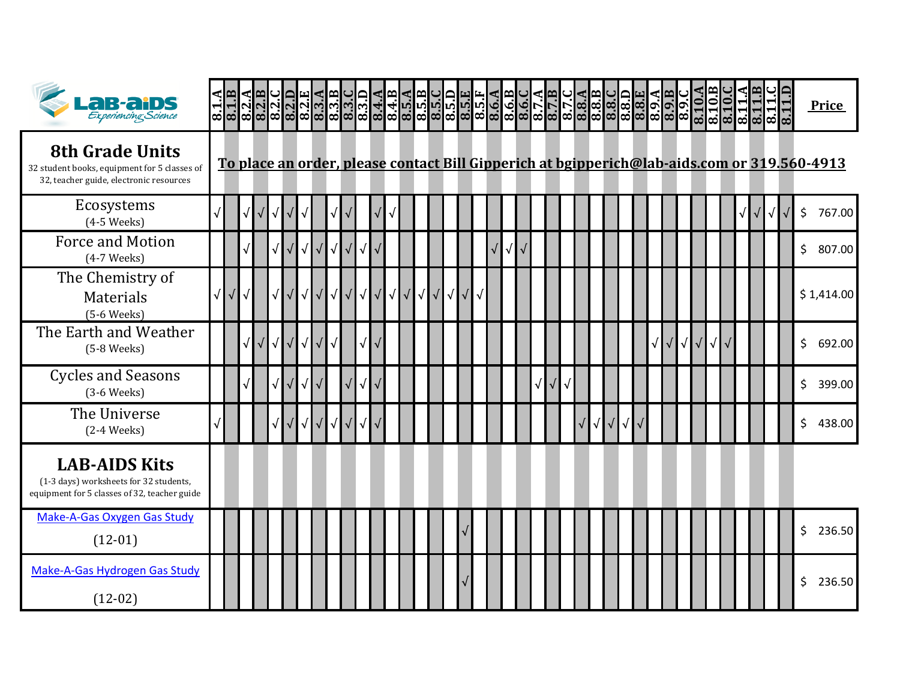| <b>CB-CIDS</b>                                                                                                    | 8.1.B |            |            | $\begin{array}{c}\n 3.218 \\ 2.212 \\ 3.212 \\ 4.212 \\ 5.212\n \end{array}$ |           |            |            |            |                  |                      |           |                  |                  |           |            |            |  |  |            |           |                       |            |           |            |            |            |            | 8.10.B | 11<br>ಹ | $8.11 \text{ }B$ | $\infty$ | 8.11.D |              | Price                                                                                       |
|-------------------------------------------------------------------------------------------------------------------|-------|------------|------------|------------------------------------------------------------------------------|-----------|------------|------------|------------|------------------|----------------------|-----------|------------------|------------------|-----------|------------|------------|--|--|------------|-----------|-----------------------|------------|-----------|------------|------------|------------|------------|--------|---------|------------------|----------|--------|--------------|---------------------------------------------------------------------------------------------|
| <b>8th Grade Units</b><br>32 student books, equipment for 5 classes of<br>32, teacher guide, electronic resources |       |            |            |                                                                              |           |            |            |            |                  |                      |           |                  |                  |           |            |            |  |  |            |           |                       |            |           |            |            |            |            |        |         |                  |          |        |              | To place an order, please contact Bill Gipperich at bgipperich@lab-aids.com or 319.560-4913 |
| Ecosystems<br>$(4-5$ Weeks)                                                                                       |       |            |            |                                                                              |           |            |            |            |                  |                      |           |                  |                  |           |            |            |  |  |            |           |                       |            |           |            |            |            |            |        |         |                  |          |        | \$           | 767.00                                                                                      |
| <b>Force and Motion</b><br>$(4-7$ Weeks)                                                                          |       |            |            |                                                                              |           | $\sqrt{ }$ | $\sqrt{}$  | $\sqrt{}$  | $\sqrt{\sqrt{}}$ | $\sqrt{ }$           |           |                  |                  |           |            | $\sqrt{2}$ |  |  |            |           |                       |            |           |            |            |            |            |        |         |                  |          |        | \$           | 807.00                                                                                      |
| The Chemistry of<br>Materials<br>$(5-6$ Weeks)                                                                    |       | $\sqrt{2}$ | $\sqrt{2}$ |                                                                              |           | $\sqrt{ }$ |            | $\sqrt{ }$ | $\sqrt{\sqrt{}}$ | $\sqrt{ }$           | $\sqrt{}$ | $\sqrt{\sqrt{}}$ | $\sqrt{\sqrt{}}$ | $\sqrt{}$ | $\sqrt{ }$ |            |  |  |            |           |                       |            |           |            |            |            |            |        |         |                  |          |        |              | \$1,414.00                                                                                  |
| The Earth and Weather<br>$(5-8$ Weeks)                                                                            |       |            | $\sqrt{2}$ | $\sqrt{2}$                                                                   | $\sqrt{}$ | $\sqrt{ }$ | $\sqrt{ }$ |            |                  | $\sqrt{ }$           |           |                  |                  |           |            |            |  |  |            |           |                       |            | $\sqrt{}$ | $\sqrt{ }$ | $\sqrt{ }$ | $\sqrt{ }$ | $\sqrt{ }$ |        |         |                  |          |        | \$           | 692.00                                                                                      |
| <b>Cycles and Seasons</b><br>$(3-6$ Weeks)                                                                        |       |            |            |                                                                              |           | $\sqrt{2}$ |            |            |                  | $\sqrt{\phantom{a}}$ |           |                  |                  |           |            |            |  |  |            |           |                       |            |           |            |            |            |            |        |         |                  |          |        | \$           | 399.00                                                                                      |
| The Universe<br>$(2-4$ Weeks)                                                                                     |       |            |            |                                                                              |           | $\sqrt{ }$ |            | $\sqrt{}$  | $\sqrt{\sqrt{}}$ | $\sqrt{ }$           |           |                  |                  |           |            |            |  |  | $\sqrt{2}$ | $\sqrt{}$ | $\overline{\sqrt{ }}$ | $\sqrt{ }$ |           |            |            |            |            |        |         |                  |          |        | \$           | 438.00                                                                                      |
| <b>LAB-AIDS Kits</b><br>(1-3 days) worksheets for 32 students,<br>equipment for 5 classes of 32, teacher guide    |       |            |            |                                                                              |           |            |            |            |                  |                      |           |                  |                  |           |            |            |  |  |            |           |                       |            |           |            |            |            |            |        |         |                  |          |        |              |                                                                                             |
| Make-A-Gas Oxygen Gas Study<br>$(12-01)$                                                                          |       |            |            |                                                                              |           |            |            |            |                  |                      |           |                  |                  |           |            |            |  |  |            |           |                       |            |           |            |            |            |            |        |         |                  |          |        | $\mathsf{S}$ | 236.50                                                                                      |
| Make-A-Gas Hydrogen Gas Study<br>$(12-02)$                                                                        |       |            |            |                                                                              |           |            |            |            |                  |                      |           |                  |                  |           |            |            |  |  |            |           |                       |            |           |            |            |            |            |        |         |                  |          |        | \$           | 236.50                                                                                      |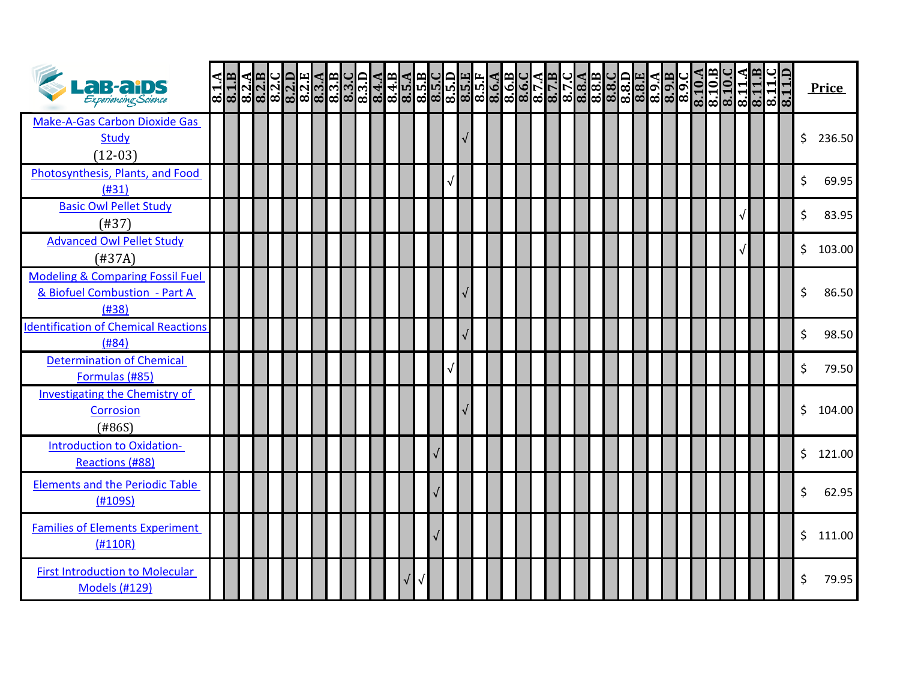| <b>LaB-aids</b><br>Experiencing Science                                               | $\overline{8.1.A}$ | 8.1.B | $\frac{8.2 \text{ A}}{8.2 \text{ B}}$ | 8.2. | 8.2.E<br>8.2.E<br>8.3.A | 8.3.B | 8.3. | $\frac{8.3 \text{ D}}{8.4 \text{ A}}$ |  |  | ၜ႞ၛၜၟၜၛၜၟ႞ၜၟၜၟၜၟၜၟၜၟၜၟၜၟၜၟၜ<br>ၛႜၯၯၟၯၯၯၟၣၜၣၜၣၯၯၯ<br>ႜၛၛႜၯၯၯၣၣၣၣၣၣၣၣၣၣၣ |  |  |  |  | $\frac{13.8}{13.81}$ | 8.8. | $\frac{8.9 \text{ }\AA}{8.9 \text{ }\AA}$ | 8.9. | 8.10.A | $\frac{8.10}{8.10}$ |  | $\frac{81}{81}$ | 8.11. | 8.1 | <b>Price</b> |
|---------------------------------------------------------------------------------------|--------------------|-------|---------------------------------------|------|-------------------------|-------|------|---------------------------------------|--|--|------------------------------------------------------------------------|--|--|--|--|----------------------|------|-------------------------------------------|------|--------|---------------------|--|-----------------|-------|-----|--------------|
| <b>Make-A-Gas Carbon Dioxide Gas</b><br><b>Study</b><br>$(12-03)$                     |                    |       |                                       |      |                         |       |      |                                       |  |  |                                                                        |  |  |  |  |                      |      |                                           |      |        |                     |  |                 |       |     | \$<br>236.50 |
| Photosynthesis, Plants, and Food<br>(H31)                                             |                    |       |                                       |      |                         |       |      |                                       |  |  | $\sqrt{ }$                                                             |  |  |  |  |                      |      |                                           |      |        |                     |  |                 |       |     | \$<br>69.95  |
| <b>Basic Owl Pellet Study</b><br>(H37)                                                |                    |       |                                       |      |                         |       |      |                                       |  |  |                                                                        |  |  |  |  |                      |      |                                           |      |        |                     |  |                 |       |     | \$<br>83.95  |
| <b>Advanced Owl Pellet Study</b><br>(H37A)                                            |                    |       |                                       |      |                         |       |      |                                       |  |  |                                                                        |  |  |  |  |                      |      |                                           |      |        |                     |  |                 |       |     | \$<br>103.00 |
| <b>Modeling &amp; Comparing Fossil Fuel</b><br>& Biofuel Combustion - Part A<br>(H38) |                    |       |                                       |      |                         |       |      |                                       |  |  |                                                                        |  |  |  |  |                      |      |                                           |      |        |                     |  |                 |       |     | \$<br>86.50  |
| <b>Identification of Chemical Reactions</b><br>(H84)                                  |                    |       |                                       |      |                         |       |      |                                       |  |  |                                                                        |  |  |  |  |                      |      |                                           |      |        |                     |  |                 |       |     | \$<br>98.50  |
| <b>Determination of Chemical</b><br>Formulas (#85)                                    |                    |       |                                       |      |                         |       |      |                                       |  |  |                                                                        |  |  |  |  |                      |      |                                           |      |        |                     |  |                 |       |     | \$<br>79.50  |
| Investigating the Chemistry of<br>Corrosion<br>(#86S)                                 |                    |       |                                       |      |                         |       |      |                                       |  |  |                                                                        |  |  |  |  |                      |      |                                           |      |        |                     |  |                 |       |     | \$<br>104.00 |
| Introduction to Oxidation-<br>Reactions (#88)                                         |                    |       |                                       |      |                         |       |      |                                       |  |  |                                                                        |  |  |  |  |                      |      |                                           |      |        |                     |  |                 |       |     | \$121.00     |
| <b>Elements and the Periodic Table</b><br>(H109S)                                     |                    |       |                                       |      |                         |       |      |                                       |  |  |                                                                        |  |  |  |  |                      |      |                                           |      |        |                     |  |                 |       |     | \$<br>62.95  |
| <b>Families of Elements Experiment</b><br>(H110R)                                     |                    |       |                                       |      |                         |       |      |                                       |  |  |                                                                        |  |  |  |  |                      |      |                                           |      |        |                     |  |                 |       |     | \$111.00     |
| <b>First Introduction to Molecular</b><br><b>Models (#129)</b>                        |                    |       |                                       |      |                         |       |      |                                       |  |  |                                                                        |  |  |  |  |                      |      |                                           |      |        |                     |  |                 |       |     | \$<br>79.95  |